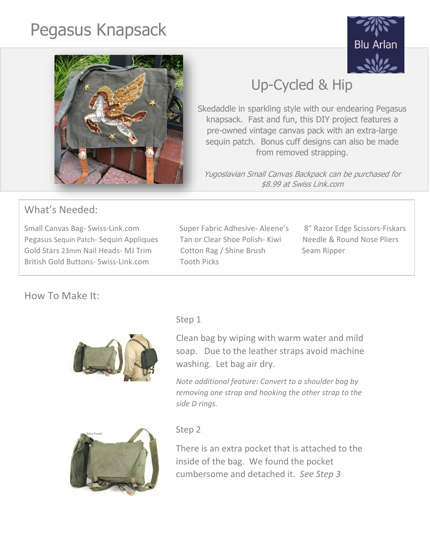# Pegasus Knapsack





## Up-Cycled & Hip

Skedaddle in sparkling style with our endearing Pegasus knapsack. Fast and fun, this DIY project features a pre-owned vintage canvas pack with an extra-large sequin patch. Bonus cuff designs can also be made from removed strapping.

Yugoslavian Small Canvas Backpack can be purchased for \$8.99 at Swiss Link.com

## What's Needed:

Small Canvas Bag- Swiss-Link.com Super Fabric Adhesive- Aleene's 8" Razor Edge Scissors-Fiskars Pegasus Sequin Patch- Sequin Appliques Tan or Clear Shoe Polish- Kiwi Needle & Round Nose Pliers Gold Stars 23mm Nail Heads- MJ Trim Cotton Rag / Shine Brush Seam Ripper British Gold Buttons- Swiss-Link.com Tooth Picks

## How To Make It:





## step 1

Clean bag by wiping with warm water and mild soap. Due to the leather straps avoid machine washing. Let bag air dry.

*Note additional feature: Convert to a shoulder bag by removing one strap and hooking the other strap to the side D rings.*

#### Step 2

There is an extra pocket that is attached to the inside of the bag. We found the pocket cumbersome and detached it. *See Step 3*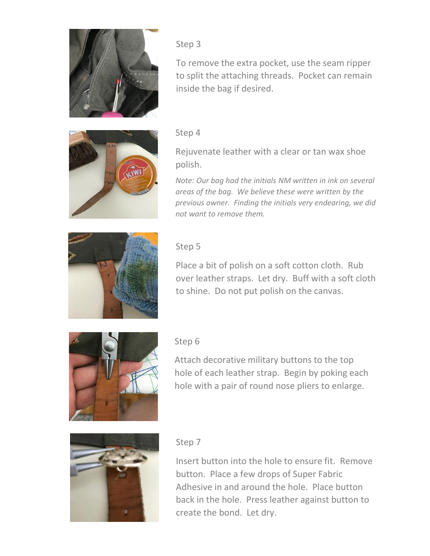

#### Step 3

To remove the extra pocket, use the seam ripper to split the attaching threads. Pocket can remain inside the bag if desired.



#### Step 4

Rejuvenate leather with a clear or tan wax shoe polish.

*Note: Our bag had the initials NM written in ink on several areas of the bag. We believe these were written by the previous owner. Finding the initials very endearing, we did not want to remove them.*



#### Step 5

Place a bit of polish on a soft cotton cloth. Rub over leather straps. Let dry. Buff with a soft cloth to shine. Do not put polish on the canvas.



#### Step 6

Attach decorative military buttons to the top hole of each leather strap. Begin by poking each hole with a pair of round nose pliers to enlarge.



#### Step 7

Insert button into the hole to ensure fit. Remove button. Place a few drops of Super Fabric Adhesive in and around the hole. Place button back in the hole. Press leather against button to create the bond. Let dry.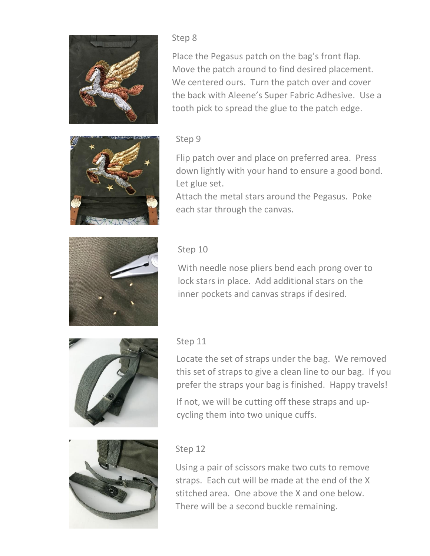

#### Step 8

Place the Pegasus patch on the bag's front flap. Move the patch around to find desired placement. We centered ours. Turn the patch over and cover the back with Aleene's Super Fabric Adhesive. Use a tooth pick to spread the glue to the patch edge.



#### Step 9

Flip patch over and place on preferred area. Press down lightly with your hand to ensure a good bond. Let glue set.

Attach the metal stars around the Pegasus. Poke each star through the canvas.



#### Step 10

With needle nose pliers bend each prong over to lock stars in place. Add additional stars on the inner pockets and canvas straps if desired.



#### Step 11

Locate the set of straps under the bag. We removed this set of straps to give a clean line to our bag. If you prefer the straps your bag is finished. Happy travels!

If not, we will be cutting off these straps and upcycling them into two unique cuffs.



#### Step 12

Using a pair of scissors make two cuts to remove straps. Each cut will be made at the end of the X stitched area. One above the X and one below. There will be a second buckle remaining.